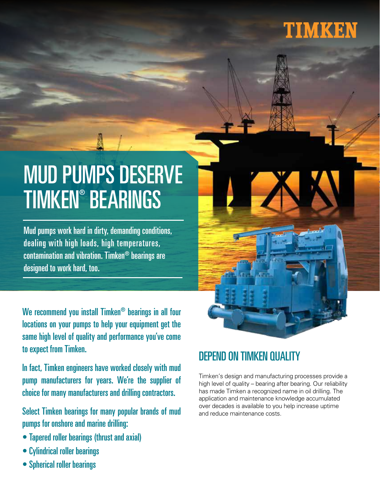## TIMKEN

# MUD PUMPS DESERVE TIMKEN® BEARINGS

Mud pumps work hard in dirty, demanding conditions, dealing with high loads, high temperatures, contamination and vibration. Timken® bearings are designed to work hard, too.

We recommend you install Timken® bearings in all four locations on your pumps to help your equipment get the same high level of quality and performance you've come to expect from Timken.

In fact, Timken engineers have worked closely with mud pump manufacturers for years. We're the supplier of choice for many manufacturers and drilling contractors.

Select Timken bearings for many popular brands of mud pumps for onshore and marine drilling:

- Tapered roller bearings (thrust and axial)
- Cylindrical roller bearings
- Spherical roller bearings

#### DEPEND ON TIMKEN QUALITY

Timken's design and manufacturing processes provide a high level of quality – bearing after bearing. Our reliability has made Timken a recognized name in oil drilling. The application and maintenance knowledge accumulated over decades is available to you help increase uptime and reduce maintenance costs.